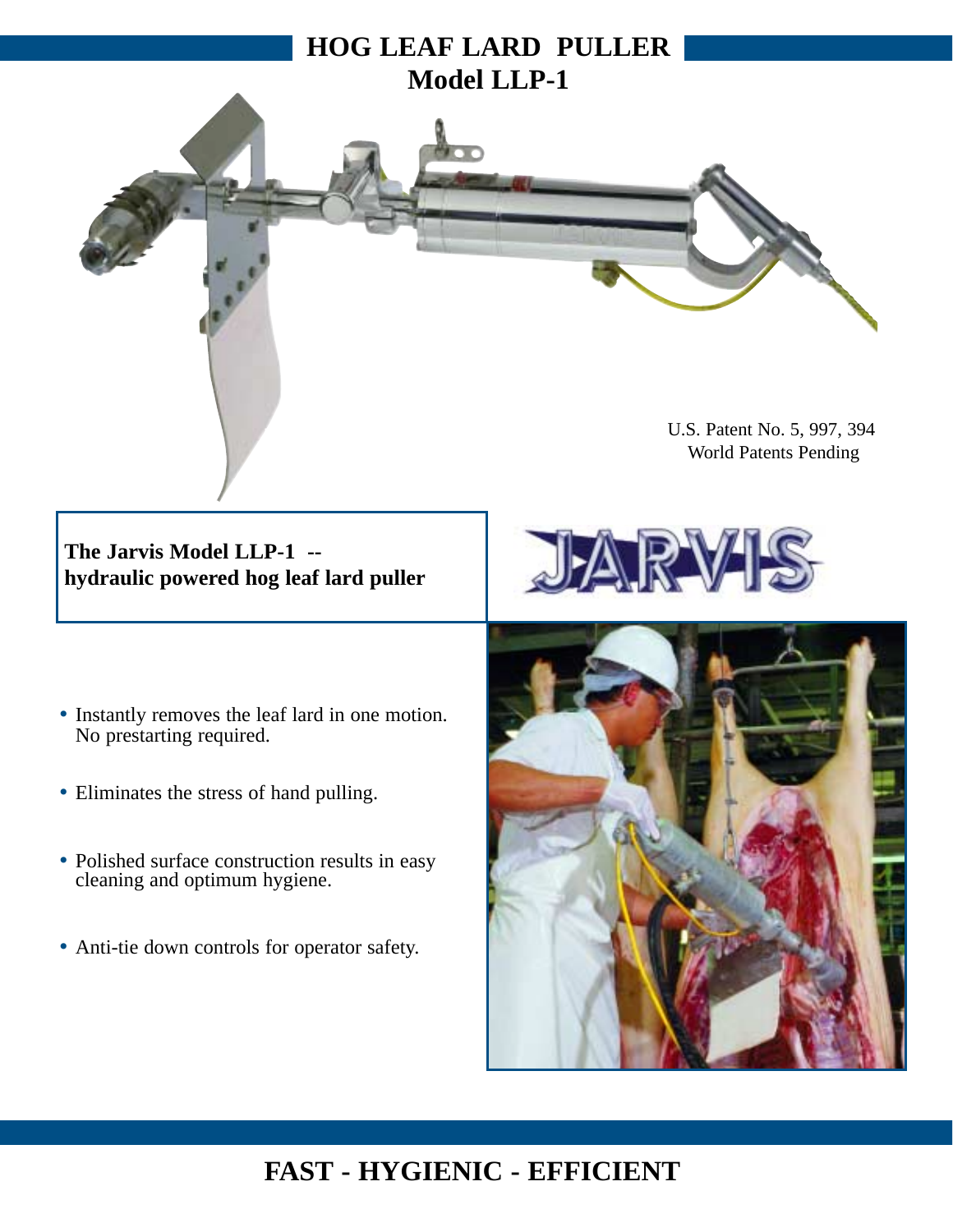

**The Jarvis Model LLP-1 - hydraulic powered hog leaf lard puller**

- Instantly removes the leaf lard in one motion. No prestarting required.
- Eliminates the stress of hand pulling.
- Polished surface construction results in easy cleaning and optimum hygiene.
- Anti-tie down controls for operator safety.





## **FAST - HYGIENIC - EFFICIENT**